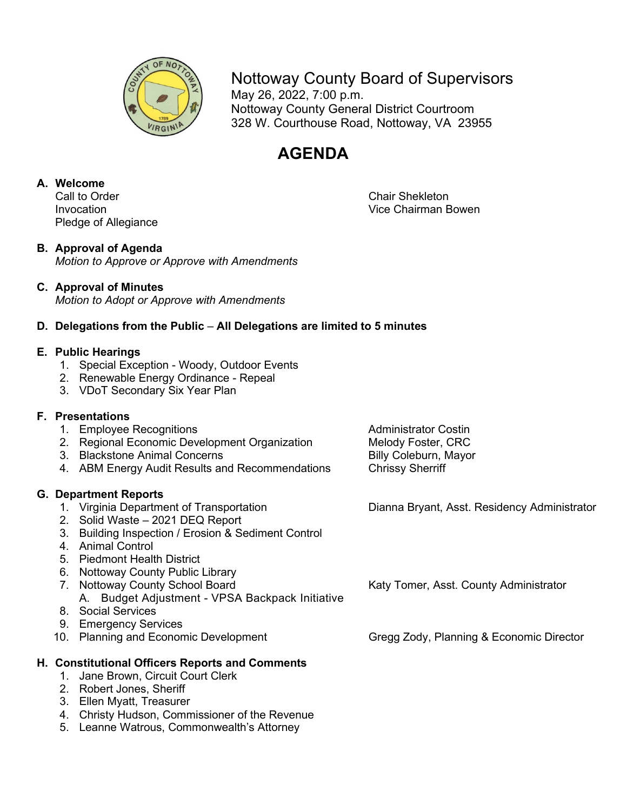

## Nottoway County Board of Supervisors

May 26, 2022, 7:00 p.m. Nottoway County General District Courtroom 328 W. Courthouse Road, Nottoway, VA 23955

# **AGENDA**

# **A. Welcome**

Pledge of Allegiance

#### **B. Approval of Agenda**

*Motion to Approve or Approve with Amendments*

### **C. Approval of Minutes**

*Motion to Adopt or Approve with Amendments*

### **D. Delegations from the Public** – **All Delegations are limited to 5 minutes**

#### **E. Public Hearings**

- 1. Special Exception Woody, Outdoor Events
- 2. Renewable Energy Ordinance Repeal
- 3. VDoT Secondary Six Year Plan

### **F. Presentations**

- 
- 1. Employee Recognitions<br>2. Regional Economic Development Organization Melody Foster, CRC 2. Regional Economic Development Organization
- 3. Blackstone Animal Concerns **Billy Coleburn, Mayor** Billy Coleburn, Mayor
- 4. ABM Energy Audit Results and Recommendations Chrissy Sherriff

- **G. Department Reports**
	- 2. Solid Waste 2021 DEQ Report
	- 3. Building Inspection / Erosion & Sediment Control
	- 4. Animal Control
	- 5. Piedmont Health District
	- 6. Nottoway County Public Library
	-
	- A. Budget Adjustment VPSA Backpack Initiative 8. Social Services
	- 9. Emergency Services
	-

### **H. Constitutional Officers Reports and Comments**

- 1. Jane Brown, Circuit Court Clerk
- 2. Robert Jones, Sheriff
- 3. Ellen Myatt, Treasurer
- 4. Christy Hudson, Commissioner of the Revenue
- 5. Leanne Watrous, Commonwealth's Attorney

Dianna Bryant, Asst. Residency Administrator

7. Nottoway County School Board **Katy Tomer, Asst. County Administrator** Katy Tomer, Asst. County Administrator

10. Planning and Economic Development Gregg Zody, Planning & Economic Director

Chair Shekleton Invocation Vice Chairman Bowen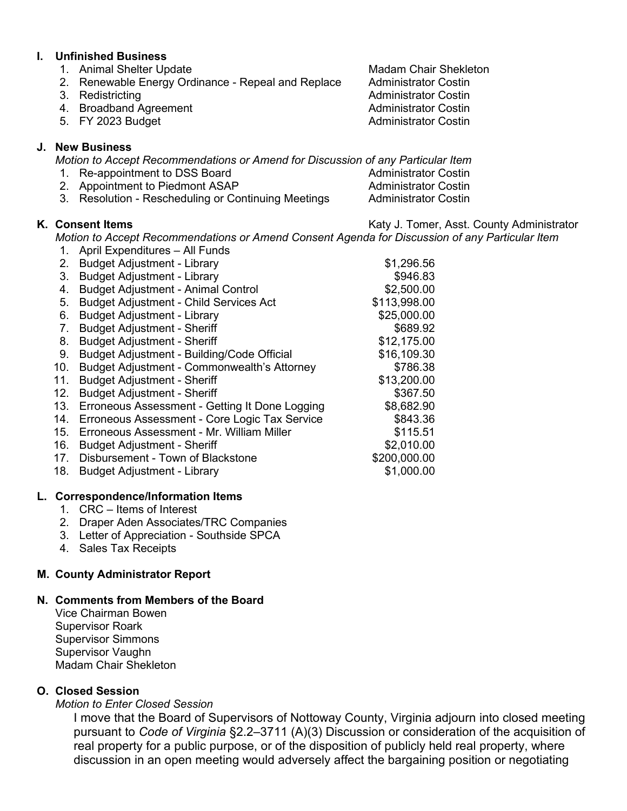#### **I. Unfinished Business**

- 1. Animal Shelter Update Machines Madam Chair Shekleton
- 2. Renewable Energy Ordinance Repeal and Replace Administrator Costin
- 
- 4. Broadband Agreement **Administrator Costin**
- 

#### **J. New Business**

*Motion to Accept Recommendations or Amend for Discussion of any Particular Item*

- 1. Re-appointment to DSS Board Administrator Costin
- 2. Appointment to Piedmont ASAP
- 3. Resolution Rescheduling or Continuing Meetings Administrator Costin

K. Consent Items **K.** Consent Items **K.** Consent Items

*Motion to Accept Recommendations or Amend Consent Agenda for Discussion of any Particular Item*

- 1. April Expenditures All Funds
- 2. Budget Adjustment Library **\$1,296.56**
- 3. Budget Adjustment Library **\$946.83**
- 4. Budget Adjustment Animal Control **69.600.00** \$2,500.00
- 5. Budget Adjustment Child Services Act  $$113,998.00$
- 6. Budget Adjustment Library **\$25,000.00**
- 7. Budget Adjustment Sheriff  $\frac{1}{2}$  sets and  $\frac{1}{2}$  sets and  $\frac{1}{2}$
- 8. Budget Adjustment Sheriff  $$12,175.00$
- 9. Budget Adjustment Building/Code Official  $$16,109.30$
- 10. Budget Adjustment Commonwealth's Attorney \$786.38
- 11. Budget Adjustment Sheriff  $$13,200.00$
- 12. Budget Adjustment Sheriff  $$367.50$
- 13. Erroneous Assessment Getting It Done Logging \$8,682.90
- 14. Erroneous Assessment Core Logic Tax Service \$843.36
- 15. Erroneous Assessment Mr. William Miller **15. Execute 15.51**<br>16. Budget Adjustment Sheriff 16. Budget 16. Budget Adjustment Sheriff 16. Budget 17.000
- 16. Budget Adjustment Sheriff
- 17. Disbursement Town of Blackstone \$200,000.00
- 18. Budget Adjustment Library **\$1,000.00**

#### **L. Correspondence/Information Items**

- 1. CRC Items of Interest
- 2. Draper Aden Associates/TRC Companies
- 3. Letter of Appreciation Southside SPCA
- 4. Sales Tax Receipts

#### **M. County Administrator Report**

#### **N. Comments from Members of the Board**

Vice Chairman Bowen Supervisor Roark Supervisor Simmons Supervisor Vaughn Madam Chair Shekleton

#### **O. Closed Session**

*Motion to Enter Closed Session*

I move that the Board of Supervisors of Nottoway County, Virginia adjourn into closed meeting pursuant to *Code of Virginia* §2.2–3711 (A)(3) Discussion or consideration of the acquisition of real property for a public purpose, or of the disposition of publicly held real property, where discussion in an open meeting would adversely affect the bargaining position or negotiating

3. Redistricting Administrator Costin 5. FY 2023 Budget **Administrator Costin**